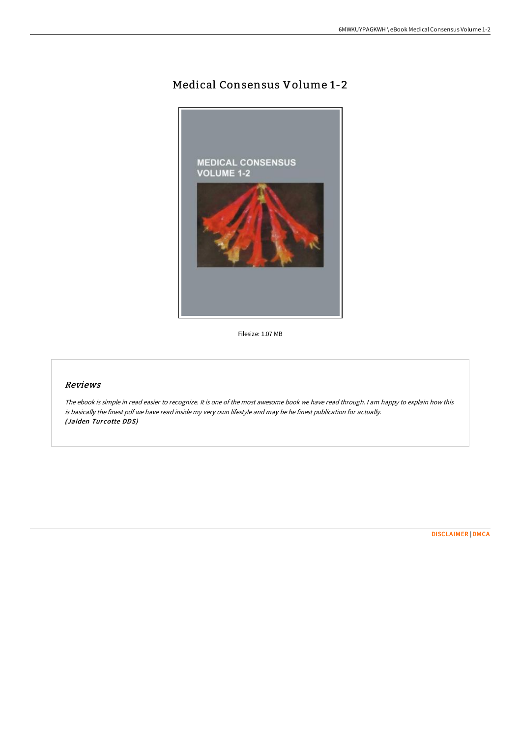# Medical Consensus Volume 1-2



Filesize: 1.07 MB

## Reviews

The ebook is simple in read easier to recognize. It is one of the most awesome book we have read through. <sup>I</sup> am happy to explain how this is basically the finest pdf we have read inside my very own lifestyle and may be he finest publication for actually. (Jaiden Turcotte DDS)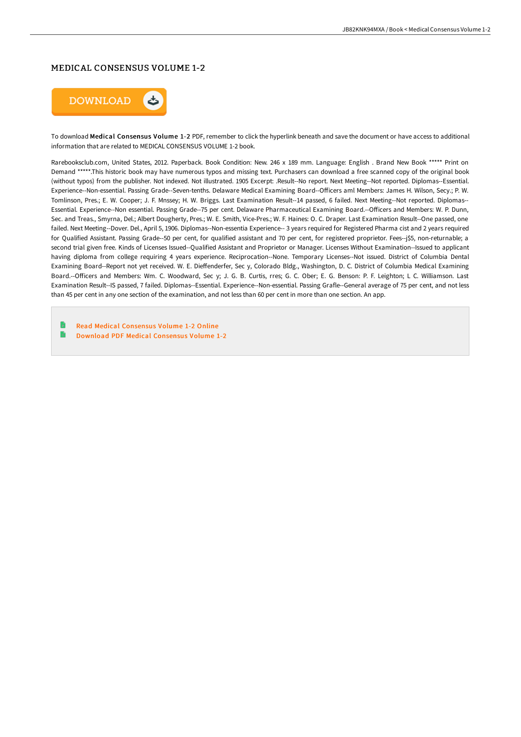### MEDICAL CONSENSUS VOLUME 1-2



To download Medical Consensus Volume 1-2 PDF, remember to click the hyperlink beneath and save the document or have access to additional information that are related to MEDICAL CONSENSUS VOLUME 1-2 book.

Rarebooksclub.com, United States, 2012. Paperback. Book Condition: New. 246 x 189 mm. Language: English . Brand New Book \*\*\*\*\* Print on Demand \*\*\*\*\*.This historic book may have numerous typos and missing text. Purchasers can download a free scanned copy of the original book (without typos) from the publisher. Not indexed. Not illustrated. 1905 Excerpt: .Result--No report. Next Meeting--Not reported. Diplomas--Essential. Experience--Non-essential. Passing Grade--Seven-tenths. Delaware Medical Examining Board--OFicers aml Members: James H. Wilson, Secy.; P. W. Tomlinson, Pres.; E. W. Cooper; J. F. Mnssey; H. W. Briggs. Last Examination Result--14 passed, 6 failed. Next Meeting--Not reported. Diplomas-- Essential. Experience--Non essential. Passing Grade--75 per cent. Delaware Pharmaceutical Examining Board.--OFicers and Members: W. P. Dunn, Sec. and Treas., Smyrna, Del.; Albert Dougherty, Pres.; W. E. Smith, Vice-Pres.; W. F. Haines: O. C. Draper. Last Examination Result--One passed, one failed. Next Meeting--Dover. Del., April 5, 1906. Diplomas--Non-essentia Experience-- 3 years required for Registered Pharma cist and 2 years required for Qualified Assistant. Passing Grade--50 per cent, for qualified assistant and 70 per cent, for registered proprietor. Fees--j\$5, non-returnable; a second trial given free. Kinds of Licenses Issued--Qualified Assistant and Proprietor or Manager. Licenses Without Examination--Issued to applicant having diploma from college requiring 4 years experience. Reciprocation--None. Temporary Licenses--Not issued. District of Columbia Dental Examining Board--Report not yet received. W. E. DieFenderfer, Sec y, Colorado Bldg., Washington, D. C. District of Columbia Medical Examining Board.--OFicers and Members: Wm. C. Woodward, Sec y; J. G. B. Curtis, rres; G. C. Ober; E. G. Benson: P. F. Leighton; L C. Williamson. Last Examination Result--IS passed, 7 failed. Diplomas--Essential. Experience--Non-essential. Passing Grafle--General average of 75 per cent, and not less than 45 per cent in any one section of the examination, and not less than 60 per cent in more than one section. An app.

-la Read Medical [Consensus](http://www.bookdirs.com/medical-consensus-volume-1-2-paperback.html) Volume 1-2 Online E Download PDF Medical [Consensus](http://www.bookdirs.com/medical-consensus-volume-1-2-paperback.html) Volume 1-2